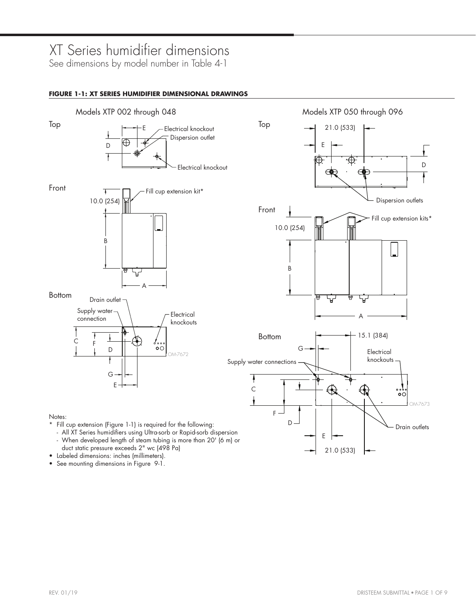### XT Series humidifier dimensions

See dimensions by model number in Table 4-1

#### **FIGURE 1-1: XT SERIES HUMIDIFIER DIMENSIONAL DRAWINGS**



- When developed length of steam tubing is more than 20' (6 m) or duct static pressure exceeds 2" wc (498 Pa)
- Labeled dimensions: inches (millimeters).
- See mounting dimensions in Figure 9-1.

21.0 (533)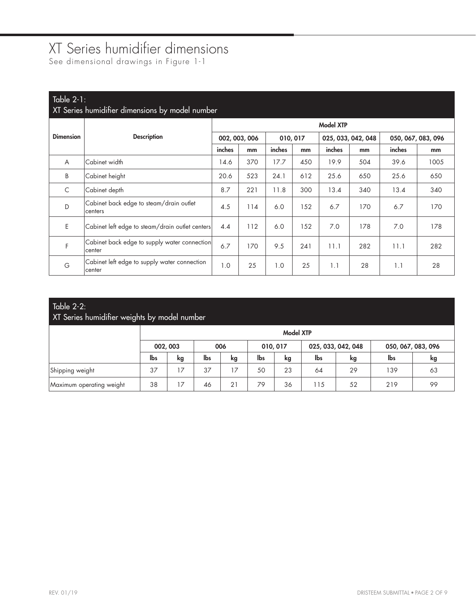## XT Series humidifier dimensions

See dimensional drawings in Figure 1-1

| Table $2-1$ :    | XT Series humidifier dimensions by model number        |        |                  |        |          |        |                    |                    |      |  |  |  |  |  |
|------------------|--------------------------------------------------------|--------|------------------|--------|----------|--------|--------------------|--------------------|------|--|--|--|--|--|
|                  |                                                        |        | <b>Model XTP</b> |        |          |        |                    |                    |      |  |  |  |  |  |
| <b>Dimension</b> | <b>Description</b>                                     |        | 002, 003, 006    |        | 010, 017 |        | 025, 033, 042, 048 | 050, 067, 083, 096 |      |  |  |  |  |  |
|                  |                                                        | inches | mm               | inches | mm       | inches | mm                 | inches             | mm   |  |  |  |  |  |
| A                | Cabinet width                                          | 14.6   | 370              | 17.7   | 450      | 19.9   | 504                | 39.6               | 1005 |  |  |  |  |  |
| B                | Cabinet height                                         | 20.6   | 523              | 24.1   | 612      | 25.6   | 650                | 25.6               | 650  |  |  |  |  |  |
| C                | Cabinet depth                                          | 8.7    | 221              | 11.8   | 300      | 13.4   | 340                | 13.4               | 340  |  |  |  |  |  |
| D                | Cabinet back edge to steam/drain outlet<br>centers     | 4.5    | 114              | 6.0    | 152      | 6.7    | 170                | 6.7                | 170  |  |  |  |  |  |
| E                | Cabinet left edge to steam/drain outlet centers        | 4.4    | 112              | 6.0    | 152      | 7.0    | 178                | 7.0                | 178  |  |  |  |  |  |
| F                | Cabinet back edge to supply water connection<br>center | 6.7    | 170              | 9.5    | 241      | 11.1   | 282                | 11.1               | 282  |  |  |  |  |  |
| G                | Cabinet left edge to supply water connection<br>center | 1.0    | 25               | 1.0    | 25       | 1.1    | 28                 | 1.1                | 28   |  |  |  |  |  |

### Table 2-2: XT Series humidifier weights by model number

|                          |     |                                                                         |     |    |           | <b>Model XTP</b> |     |    |     |    |  |  |  |  |
|--------------------------|-----|-------------------------------------------------------------------------|-----|----|-----------|------------------|-----|----|-----|----|--|--|--|--|
|                          |     | 002, 003<br>025, 033, 042, 048<br>050, 067, 083, 096<br>006<br>010, 017 |     |    |           |                  |     |    |     |    |  |  |  |  |
|                          | lbs | kg                                                                      | lbs | kg | lbs<br>kg |                  | lbs | kg | lbs | kg |  |  |  |  |
| Shipping weight          | 37  | 17                                                                      | 37  | 17 | 50        | 23               | 64  | 29 | 139 | 63 |  |  |  |  |
| Maximum operating weight | 38  | 17<br>52<br>99<br>36<br>219<br>21<br>79<br>115<br>46                    |     |    |           |                  |     |    |     |    |  |  |  |  |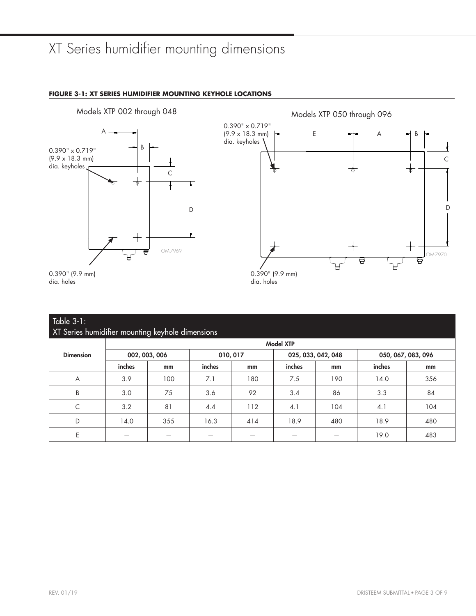## XT Series humidifier mounting dimensions

#### **FIGURE 3-1: XT SERIES HUMIDIFIER MOUNTING KEYHOLE LOCATIONS**





0.390" (9.9 mm) dia. holes

| $Table 3-1:$     | XT Series humidifier mounting keyhole dimensions |               |        |          |                  |                    |        |                    |  |  |  |  |  |
|------------------|--------------------------------------------------|---------------|--------|----------|------------------|--------------------|--------|--------------------|--|--|--|--|--|
|                  |                                                  |               |        |          | <b>Model XTP</b> |                    |        |                    |  |  |  |  |  |
| <b>Dimension</b> |                                                  | 002, 003, 006 |        | 010, 017 |                  | 025, 033, 042, 048 |        | 050, 067, 083, 096 |  |  |  |  |  |
|                  | inches                                           | mm            | inches | mm       | inches           | mm                 | inches | mm                 |  |  |  |  |  |
| A                | 3.9                                              | 100           | 7.1    | 180      | 7.5              | 190                | 14.0   | 356                |  |  |  |  |  |
| B                | 3.0                                              | 75            | 3.6    | 92       | 3.4              | 86                 | 3.3    | 84                 |  |  |  |  |  |
| C                | 3.2                                              | 81            | 4.4    | 112      | 4.1              | 104                | 4.1    | 104                |  |  |  |  |  |
| D                | 14.0                                             | 355           | 16.3   | 414      | 18.9             | 480                | 18.9   | 480                |  |  |  |  |  |
| E                |                                                  |               |        |          |                  |                    | 19.0   | 483                |  |  |  |  |  |

#### REV. 01/19 DRISTEEM SUBMITTAL • PAGE 3 OF 9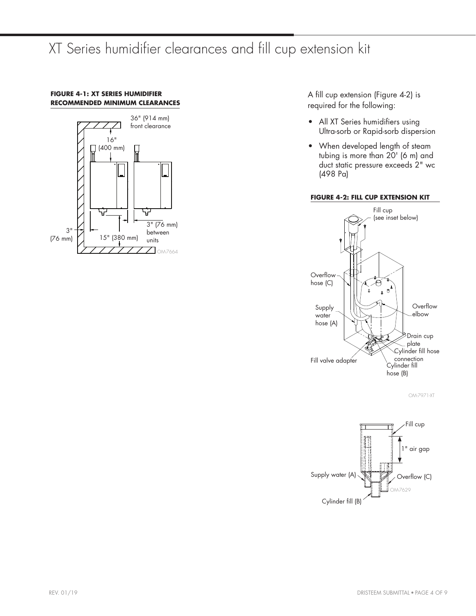## XT Series humidifier clearances and fill cup extension kit

#### **FIGURE 4-1: XT SERIES HUMIDIFIER RECOMMENDED MINIMUM CLEARANCES**



A fill cup extension (Figure 4-2) is required for the following:

- All XT Series humidifiers using Ultra-sorb or Rapid-sorb dispersion
- When developed length of steam tubing is more than 20' (6 m) and duct static pressure exceeds 2" wc (498 Pa)

#### **FIGURE 4-2: FILL CUP EXTENSION KIT**



OM-7971-XT

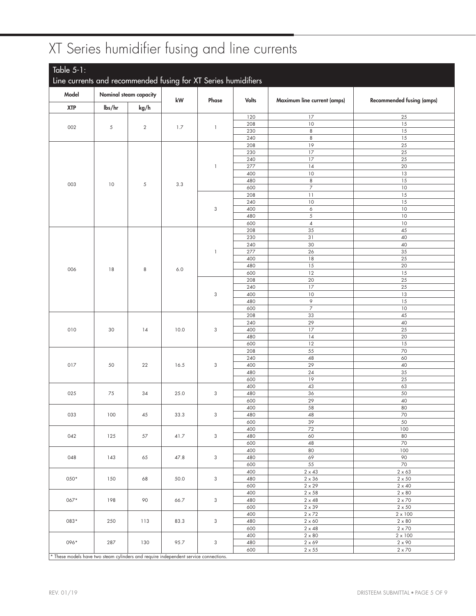# XT Series humidifier fusing and line currents

| Model<br>Nominal steam capacity<br>${\mathsf k}{\mathsf w}$<br>Phase<br>Maximum line current (amps)<br>Recommended fusing (amps)<br>Volts<br>lbs/hr<br><b>XTP</b><br>kg/h<br>120<br>17<br>25<br>208<br>15<br>10<br>002<br>5<br>$\mathbf{2}$<br>1.7<br>$\mathbf{1}$<br>$\overline{15}$<br>230<br>8<br>240<br>$\,8\,$<br>15<br>19<br>25<br>208<br>17<br>$25\,$<br>230<br>$\overline{25}$<br>17<br>240<br>277<br>14<br>20<br>$\mathbf{1}$<br>13<br>10<br>400<br>480<br>$\,8\,$<br>15<br>10<br>5<br>3.3<br>003<br>$\overline{7}$<br>10<br>600<br>15<br>208<br>11<br>$\overline{15}$<br>240<br>10<br>10<br>$\ensuremath{\mathsf{3}}$<br>400<br>$\acute{\rm{o}}$<br>$\sqrt{5}$<br>10<br>480<br>$\overline{4}$<br>600<br>10<br>35<br>45<br>208<br>31<br>40<br>230<br>40<br>240<br>30<br>277<br>26<br>35<br>1<br>25<br>400<br>18<br>480<br>15<br>20<br>006<br>18<br>6.0<br>8<br>600<br>12<br>15<br>20<br>$25\,$<br>208<br>17<br>25<br>240<br>400<br>$13$<br>$\ensuremath{\mathsf{3}}$<br>10<br>$\,9$<br>15<br>480<br>$\overline{7}$<br>10<br>600<br>45<br>208<br>33<br>240<br>29<br>40<br>17<br>25<br>010<br>10.0<br>$\ensuremath{\mathsf{3}}$<br>400<br>30<br>14<br>480<br>14<br>20<br>12<br>15<br>600<br>$\overline{55}$<br>70<br>208<br>240<br>48<br>60<br>$\overline{29}$<br>400<br>40<br>017<br>50<br>22<br>16.5<br>3<br>24<br>35<br>480<br>19<br>25<br>600<br>43<br>400<br>63<br>36<br>025<br>75<br>$\ensuremath{\mathsf{3}}$<br>480<br>50<br>34<br>25.0<br>29<br>600<br>40<br>58<br>80<br>400<br>$\mathfrak{Z}$<br>033<br>33.3<br>100<br>45<br>480<br>48<br>70<br>39<br>50<br>600<br>$72\,$<br>100<br>400<br>80<br>$\mathbf{3}$<br>480<br>60<br>042<br>125<br>57<br>41.7<br>70<br>48<br>600<br>80<br>100<br>400<br>90<br>$\mathbf{3}$<br>480<br>69<br>048<br>143<br>65<br>47.8<br>600<br>70<br>55<br>400<br>$2\times 43$<br>$2 \times 63$<br>$\mathbf{3}$<br>480<br>$2\times36$<br>$2\times50$<br>050*<br>150<br>68<br>50.0<br>600<br>$2\times29$<br>$2\times40$<br>400<br>$2 \times 58$<br>$2 \times 80$<br>$\mathbf{3}$<br>480<br>$2\times 48$<br>$2\times70$<br>067*<br>198<br>90<br>66.7<br>600<br>$2\times50$<br>$2 \times 39$<br>400<br>$2 \times 72$<br>$2 \times 100$<br>480<br>083*<br>250<br>113<br>83.3<br>3<br>$2 \times 60$<br>$2 \times 80$<br>600<br>$2 \times 70$<br>$2 \times 48$<br>400<br>$2 \times 80$<br>$2 \times 100$<br>096*<br>$\mathbf{3}$<br>480<br>$2 \times 69$<br>$2 \times 90$<br>287<br>130<br>95.7<br>600<br>$2\times70$<br>$2\times55$<br>* These models have two steam cylinders and require independent service connections. | Table $5-1$ :<br>Line currents and recommended fusing for XT Series humidifiers |  |  |  |  |
|-----------------------------------------------------------------------------------------------------------------------------------------------------------------------------------------------------------------------------------------------------------------------------------------------------------------------------------------------------------------------------------------------------------------------------------------------------------------------------------------------------------------------------------------------------------------------------------------------------------------------------------------------------------------------------------------------------------------------------------------------------------------------------------------------------------------------------------------------------------------------------------------------------------------------------------------------------------------------------------------------------------------------------------------------------------------------------------------------------------------------------------------------------------------------------------------------------------------------------------------------------------------------------------------------------------------------------------------------------------------------------------------------------------------------------------------------------------------------------------------------------------------------------------------------------------------------------------------------------------------------------------------------------------------------------------------------------------------------------------------------------------------------------------------------------------------------------------------------------------------------------------------------------------------------------------------------------------------------------------------------------------------------------------------------------------------------------------------------------------------------------------------------------------------------------------------------------------------------------------------------------------------------------------------------------------------------------------------------------------------------------------------------------------------------------------------------------------------------------------------------------------------------------------------------------------------|---------------------------------------------------------------------------------|--|--|--|--|
|                                                                                                                                                                                                                                                                                                                                                                                                                                                                                                                                                                                                                                                                                                                                                                                                                                                                                                                                                                                                                                                                                                                                                                                                                                                                                                                                                                                                                                                                                                                                                                                                                                                                                                                                                                                                                                                                                                                                                                                                                                                                                                                                                                                                                                                                                                                                                                                                                                                                                                                                                                 |                                                                                 |  |  |  |  |
|                                                                                                                                                                                                                                                                                                                                                                                                                                                                                                                                                                                                                                                                                                                                                                                                                                                                                                                                                                                                                                                                                                                                                                                                                                                                                                                                                                                                                                                                                                                                                                                                                                                                                                                                                                                                                                                                                                                                                                                                                                                                                                                                                                                                                                                                                                                                                                                                                                                                                                                                                                 |                                                                                 |  |  |  |  |
|                                                                                                                                                                                                                                                                                                                                                                                                                                                                                                                                                                                                                                                                                                                                                                                                                                                                                                                                                                                                                                                                                                                                                                                                                                                                                                                                                                                                                                                                                                                                                                                                                                                                                                                                                                                                                                                                                                                                                                                                                                                                                                                                                                                                                                                                                                                                                                                                                                                                                                                                                                 |                                                                                 |  |  |  |  |
|                                                                                                                                                                                                                                                                                                                                                                                                                                                                                                                                                                                                                                                                                                                                                                                                                                                                                                                                                                                                                                                                                                                                                                                                                                                                                                                                                                                                                                                                                                                                                                                                                                                                                                                                                                                                                                                                                                                                                                                                                                                                                                                                                                                                                                                                                                                                                                                                                                                                                                                                                                 |                                                                                 |  |  |  |  |
|                                                                                                                                                                                                                                                                                                                                                                                                                                                                                                                                                                                                                                                                                                                                                                                                                                                                                                                                                                                                                                                                                                                                                                                                                                                                                                                                                                                                                                                                                                                                                                                                                                                                                                                                                                                                                                                                                                                                                                                                                                                                                                                                                                                                                                                                                                                                                                                                                                                                                                                                                                 |                                                                                 |  |  |  |  |
|                                                                                                                                                                                                                                                                                                                                                                                                                                                                                                                                                                                                                                                                                                                                                                                                                                                                                                                                                                                                                                                                                                                                                                                                                                                                                                                                                                                                                                                                                                                                                                                                                                                                                                                                                                                                                                                                                                                                                                                                                                                                                                                                                                                                                                                                                                                                                                                                                                                                                                                                                                 |                                                                                 |  |  |  |  |
|                                                                                                                                                                                                                                                                                                                                                                                                                                                                                                                                                                                                                                                                                                                                                                                                                                                                                                                                                                                                                                                                                                                                                                                                                                                                                                                                                                                                                                                                                                                                                                                                                                                                                                                                                                                                                                                                                                                                                                                                                                                                                                                                                                                                                                                                                                                                                                                                                                                                                                                                                                 |                                                                                 |  |  |  |  |
|                                                                                                                                                                                                                                                                                                                                                                                                                                                                                                                                                                                                                                                                                                                                                                                                                                                                                                                                                                                                                                                                                                                                                                                                                                                                                                                                                                                                                                                                                                                                                                                                                                                                                                                                                                                                                                                                                                                                                                                                                                                                                                                                                                                                                                                                                                                                                                                                                                                                                                                                                                 |                                                                                 |  |  |  |  |
|                                                                                                                                                                                                                                                                                                                                                                                                                                                                                                                                                                                                                                                                                                                                                                                                                                                                                                                                                                                                                                                                                                                                                                                                                                                                                                                                                                                                                                                                                                                                                                                                                                                                                                                                                                                                                                                                                                                                                                                                                                                                                                                                                                                                                                                                                                                                                                                                                                                                                                                                                                 |                                                                                 |  |  |  |  |
|                                                                                                                                                                                                                                                                                                                                                                                                                                                                                                                                                                                                                                                                                                                                                                                                                                                                                                                                                                                                                                                                                                                                                                                                                                                                                                                                                                                                                                                                                                                                                                                                                                                                                                                                                                                                                                                                                                                                                                                                                                                                                                                                                                                                                                                                                                                                                                                                                                                                                                                                                                 |                                                                                 |  |  |  |  |
|                                                                                                                                                                                                                                                                                                                                                                                                                                                                                                                                                                                                                                                                                                                                                                                                                                                                                                                                                                                                                                                                                                                                                                                                                                                                                                                                                                                                                                                                                                                                                                                                                                                                                                                                                                                                                                                                                                                                                                                                                                                                                                                                                                                                                                                                                                                                                                                                                                                                                                                                                                 |                                                                                 |  |  |  |  |
|                                                                                                                                                                                                                                                                                                                                                                                                                                                                                                                                                                                                                                                                                                                                                                                                                                                                                                                                                                                                                                                                                                                                                                                                                                                                                                                                                                                                                                                                                                                                                                                                                                                                                                                                                                                                                                                                                                                                                                                                                                                                                                                                                                                                                                                                                                                                                                                                                                                                                                                                                                 |                                                                                 |  |  |  |  |
|                                                                                                                                                                                                                                                                                                                                                                                                                                                                                                                                                                                                                                                                                                                                                                                                                                                                                                                                                                                                                                                                                                                                                                                                                                                                                                                                                                                                                                                                                                                                                                                                                                                                                                                                                                                                                                                                                                                                                                                                                                                                                                                                                                                                                                                                                                                                                                                                                                                                                                                                                                 |                                                                                 |  |  |  |  |
|                                                                                                                                                                                                                                                                                                                                                                                                                                                                                                                                                                                                                                                                                                                                                                                                                                                                                                                                                                                                                                                                                                                                                                                                                                                                                                                                                                                                                                                                                                                                                                                                                                                                                                                                                                                                                                                                                                                                                                                                                                                                                                                                                                                                                                                                                                                                                                                                                                                                                                                                                                 |                                                                                 |  |  |  |  |
|                                                                                                                                                                                                                                                                                                                                                                                                                                                                                                                                                                                                                                                                                                                                                                                                                                                                                                                                                                                                                                                                                                                                                                                                                                                                                                                                                                                                                                                                                                                                                                                                                                                                                                                                                                                                                                                                                                                                                                                                                                                                                                                                                                                                                                                                                                                                                                                                                                                                                                                                                                 |                                                                                 |  |  |  |  |
|                                                                                                                                                                                                                                                                                                                                                                                                                                                                                                                                                                                                                                                                                                                                                                                                                                                                                                                                                                                                                                                                                                                                                                                                                                                                                                                                                                                                                                                                                                                                                                                                                                                                                                                                                                                                                                                                                                                                                                                                                                                                                                                                                                                                                                                                                                                                                                                                                                                                                                                                                                 |                                                                                 |  |  |  |  |
|                                                                                                                                                                                                                                                                                                                                                                                                                                                                                                                                                                                                                                                                                                                                                                                                                                                                                                                                                                                                                                                                                                                                                                                                                                                                                                                                                                                                                                                                                                                                                                                                                                                                                                                                                                                                                                                                                                                                                                                                                                                                                                                                                                                                                                                                                                                                                                                                                                                                                                                                                                 |                                                                                 |  |  |  |  |
|                                                                                                                                                                                                                                                                                                                                                                                                                                                                                                                                                                                                                                                                                                                                                                                                                                                                                                                                                                                                                                                                                                                                                                                                                                                                                                                                                                                                                                                                                                                                                                                                                                                                                                                                                                                                                                                                                                                                                                                                                                                                                                                                                                                                                                                                                                                                                                                                                                                                                                                                                                 |                                                                                 |  |  |  |  |
|                                                                                                                                                                                                                                                                                                                                                                                                                                                                                                                                                                                                                                                                                                                                                                                                                                                                                                                                                                                                                                                                                                                                                                                                                                                                                                                                                                                                                                                                                                                                                                                                                                                                                                                                                                                                                                                                                                                                                                                                                                                                                                                                                                                                                                                                                                                                                                                                                                                                                                                                                                 |                                                                                 |  |  |  |  |
|                                                                                                                                                                                                                                                                                                                                                                                                                                                                                                                                                                                                                                                                                                                                                                                                                                                                                                                                                                                                                                                                                                                                                                                                                                                                                                                                                                                                                                                                                                                                                                                                                                                                                                                                                                                                                                                                                                                                                                                                                                                                                                                                                                                                                                                                                                                                                                                                                                                                                                                                                                 |                                                                                 |  |  |  |  |
|                                                                                                                                                                                                                                                                                                                                                                                                                                                                                                                                                                                                                                                                                                                                                                                                                                                                                                                                                                                                                                                                                                                                                                                                                                                                                                                                                                                                                                                                                                                                                                                                                                                                                                                                                                                                                                                                                                                                                                                                                                                                                                                                                                                                                                                                                                                                                                                                                                                                                                                                                                 |                                                                                 |  |  |  |  |
|                                                                                                                                                                                                                                                                                                                                                                                                                                                                                                                                                                                                                                                                                                                                                                                                                                                                                                                                                                                                                                                                                                                                                                                                                                                                                                                                                                                                                                                                                                                                                                                                                                                                                                                                                                                                                                                                                                                                                                                                                                                                                                                                                                                                                                                                                                                                                                                                                                                                                                                                                                 |                                                                                 |  |  |  |  |
|                                                                                                                                                                                                                                                                                                                                                                                                                                                                                                                                                                                                                                                                                                                                                                                                                                                                                                                                                                                                                                                                                                                                                                                                                                                                                                                                                                                                                                                                                                                                                                                                                                                                                                                                                                                                                                                                                                                                                                                                                                                                                                                                                                                                                                                                                                                                                                                                                                                                                                                                                                 |                                                                                 |  |  |  |  |
|                                                                                                                                                                                                                                                                                                                                                                                                                                                                                                                                                                                                                                                                                                                                                                                                                                                                                                                                                                                                                                                                                                                                                                                                                                                                                                                                                                                                                                                                                                                                                                                                                                                                                                                                                                                                                                                                                                                                                                                                                                                                                                                                                                                                                                                                                                                                                                                                                                                                                                                                                                 |                                                                                 |  |  |  |  |
|                                                                                                                                                                                                                                                                                                                                                                                                                                                                                                                                                                                                                                                                                                                                                                                                                                                                                                                                                                                                                                                                                                                                                                                                                                                                                                                                                                                                                                                                                                                                                                                                                                                                                                                                                                                                                                                                                                                                                                                                                                                                                                                                                                                                                                                                                                                                                                                                                                                                                                                                                                 |                                                                                 |  |  |  |  |
|                                                                                                                                                                                                                                                                                                                                                                                                                                                                                                                                                                                                                                                                                                                                                                                                                                                                                                                                                                                                                                                                                                                                                                                                                                                                                                                                                                                                                                                                                                                                                                                                                                                                                                                                                                                                                                                                                                                                                                                                                                                                                                                                                                                                                                                                                                                                                                                                                                                                                                                                                                 |                                                                                 |  |  |  |  |
|                                                                                                                                                                                                                                                                                                                                                                                                                                                                                                                                                                                                                                                                                                                                                                                                                                                                                                                                                                                                                                                                                                                                                                                                                                                                                                                                                                                                                                                                                                                                                                                                                                                                                                                                                                                                                                                                                                                                                                                                                                                                                                                                                                                                                                                                                                                                                                                                                                                                                                                                                                 |                                                                                 |  |  |  |  |
|                                                                                                                                                                                                                                                                                                                                                                                                                                                                                                                                                                                                                                                                                                                                                                                                                                                                                                                                                                                                                                                                                                                                                                                                                                                                                                                                                                                                                                                                                                                                                                                                                                                                                                                                                                                                                                                                                                                                                                                                                                                                                                                                                                                                                                                                                                                                                                                                                                                                                                                                                                 |                                                                                 |  |  |  |  |
|                                                                                                                                                                                                                                                                                                                                                                                                                                                                                                                                                                                                                                                                                                                                                                                                                                                                                                                                                                                                                                                                                                                                                                                                                                                                                                                                                                                                                                                                                                                                                                                                                                                                                                                                                                                                                                                                                                                                                                                                                                                                                                                                                                                                                                                                                                                                                                                                                                                                                                                                                                 |                                                                                 |  |  |  |  |
|                                                                                                                                                                                                                                                                                                                                                                                                                                                                                                                                                                                                                                                                                                                                                                                                                                                                                                                                                                                                                                                                                                                                                                                                                                                                                                                                                                                                                                                                                                                                                                                                                                                                                                                                                                                                                                                                                                                                                                                                                                                                                                                                                                                                                                                                                                                                                                                                                                                                                                                                                                 |                                                                                 |  |  |  |  |
|                                                                                                                                                                                                                                                                                                                                                                                                                                                                                                                                                                                                                                                                                                                                                                                                                                                                                                                                                                                                                                                                                                                                                                                                                                                                                                                                                                                                                                                                                                                                                                                                                                                                                                                                                                                                                                                                                                                                                                                                                                                                                                                                                                                                                                                                                                                                                                                                                                                                                                                                                                 |                                                                                 |  |  |  |  |
|                                                                                                                                                                                                                                                                                                                                                                                                                                                                                                                                                                                                                                                                                                                                                                                                                                                                                                                                                                                                                                                                                                                                                                                                                                                                                                                                                                                                                                                                                                                                                                                                                                                                                                                                                                                                                                                                                                                                                                                                                                                                                                                                                                                                                                                                                                                                                                                                                                                                                                                                                                 |                                                                                 |  |  |  |  |
|                                                                                                                                                                                                                                                                                                                                                                                                                                                                                                                                                                                                                                                                                                                                                                                                                                                                                                                                                                                                                                                                                                                                                                                                                                                                                                                                                                                                                                                                                                                                                                                                                                                                                                                                                                                                                                                                                                                                                                                                                                                                                                                                                                                                                                                                                                                                                                                                                                                                                                                                                                 |                                                                                 |  |  |  |  |
|                                                                                                                                                                                                                                                                                                                                                                                                                                                                                                                                                                                                                                                                                                                                                                                                                                                                                                                                                                                                                                                                                                                                                                                                                                                                                                                                                                                                                                                                                                                                                                                                                                                                                                                                                                                                                                                                                                                                                                                                                                                                                                                                                                                                                                                                                                                                                                                                                                                                                                                                                                 |                                                                                 |  |  |  |  |
|                                                                                                                                                                                                                                                                                                                                                                                                                                                                                                                                                                                                                                                                                                                                                                                                                                                                                                                                                                                                                                                                                                                                                                                                                                                                                                                                                                                                                                                                                                                                                                                                                                                                                                                                                                                                                                                                                                                                                                                                                                                                                                                                                                                                                                                                                                                                                                                                                                                                                                                                                                 |                                                                                 |  |  |  |  |
|                                                                                                                                                                                                                                                                                                                                                                                                                                                                                                                                                                                                                                                                                                                                                                                                                                                                                                                                                                                                                                                                                                                                                                                                                                                                                                                                                                                                                                                                                                                                                                                                                                                                                                                                                                                                                                                                                                                                                                                                                                                                                                                                                                                                                                                                                                                                                                                                                                                                                                                                                                 |                                                                                 |  |  |  |  |
|                                                                                                                                                                                                                                                                                                                                                                                                                                                                                                                                                                                                                                                                                                                                                                                                                                                                                                                                                                                                                                                                                                                                                                                                                                                                                                                                                                                                                                                                                                                                                                                                                                                                                                                                                                                                                                                                                                                                                                                                                                                                                                                                                                                                                                                                                                                                                                                                                                                                                                                                                                 |                                                                                 |  |  |  |  |
|                                                                                                                                                                                                                                                                                                                                                                                                                                                                                                                                                                                                                                                                                                                                                                                                                                                                                                                                                                                                                                                                                                                                                                                                                                                                                                                                                                                                                                                                                                                                                                                                                                                                                                                                                                                                                                                                                                                                                                                                                                                                                                                                                                                                                                                                                                                                                                                                                                                                                                                                                                 |                                                                                 |  |  |  |  |
|                                                                                                                                                                                                                                                                                                                                                                                                                                                                                                                                                                                                                                                                                                                                                                                                                                                                                                                                                                                                                                                                                                                                                                                                                                                                                                                                                                                                                                                                                                                                                                                                                                                                                                                                                                                                                                                                                                                                                                                                                                                                                                                                                                                                                                                                                                                                                                                                                                                                                                                                                                 |                                                                                 |  |  |  |  |
|                                                                                                                                                                                                                                                                                                                                                                                                                                                                                                                                                                                                                                                                                                                                                                                                                                                                                                                                                                                                                                                                                                                                                                                                                                                                                                                                                                                                                                                                                                                                                                                                                                                                                                                                                                                                                                                                                                                                                                                                                                                                                                                                                                                                                                                                                                                                                                                                                                                                                                                                                                 |                                                                                 |  |  |  |  |
|                                                                                                                                                                                                                                                                                                                                                                                                                                                                                                                                                                                                                                                                                                                                                                                                                                                                                                                                                                                                                                                                                                                                                                                                                                                                                                                                                                                                                                                                                                                                                                                                                                                                                                                                                                                                                                                                                                                                                                                                                                                                                                                                                                                                                                                                                                                                                                                                                                                                                                                                                                 |                                                                                 |  |  |  |  |
|                                                                                                                                                                                                                                                                                                                                                                                                                                                                                                                                                                                                                                                                                                                                                                                                                                                                                                                                                                                                                                                                                                                                                                                                                                                                                                                                                                                                                                                                                                                                                                                                                                                                                                                                                                                                                                                                                                                                                                                                                                                                                                                                                                                                                                                                                                                                                                                                                                                                                                                                                                 |                                                                                 |  |  |  |  |
|                                                                                                                                                                                                                                                                                                                                                                                                                                                                                                                                                                                                                                                                                                                                                                                                                                                                                                                                                                                                                                                                                                                                                                                                                                                                                                                                                                                                                                                                                                                                                                                                                                                                                                                                                                                                                                                                                                                                                                                                                                                                                                                                                                                                                                                                                                                                                                                                                                                                                                                                                                 |                                                                                 |  |  |  |  |
|                                                                                                                                                                                                                                                                                                                                                                                                                                                                                                                                                                                                                                                                                                                                                                                                                                                                                                                                                                                                                                                                                                                                                                                                                                                                                                                                                                                                                                                                                                                                                                                                                                                                                                                                                                                                                                                                                                                                                                                                                                                                                                                                                                                                                                                                                                                                                                                                                                                                                                                                                                 |                                                                                 |  |  |  |  |
|                                                                                                                                                                                                                                                                                                                                                                                                                                                                                                                                                                                                                                                                                                                                                                                                                                                                                                                                                                                                                                                                                                                                                                                                                                                                                                                                                                                                                                                                                                                                                                                                                                                                                                                                                                                                                                                                                                                                                                                                                                                                                                                                                                                                                                                                                                                                                                                                                                                                                                                                                                 |                                                                                 |  |  |  |  |
|                                                                                                                                                                                                                                                                                                                                                                                                                                                                                                                                                                                                                                                                                                                                                                                                                                                                                                                                                                                                                                                                                                                                                                                                                                                                                                                                                                                                                                                                                                                                                                                                                                                                                                                                                                                                                                                                                                                                                                                                                                                                                                                                                                                                                                                                                                                                                                                                                                                                                                                                                                 |                                                                                 |  |  |  |  |
|                                                                                                                                                                                                                                                                                                                                                                                                                                                                                                                                                                                                                                                                                                                                                                                                                                                                                                                                                                                                                                                                                                                                                                                                                                                                                                                                                                                                                                                                                                                                                                                                                                                                                                                                                                                                                                                                                                                                                                                                                                                                                                                                                                                                                                                                                                                                                                                                                                                                                                                                                                 |                                                                                 |  |  |  |  |
|                                                                                                                                                                                                                                                                                                                                                                                                                                                                                                                                                                                                                                                                                                                                                                                                                                                                                                                                                                                                                                                                                                                                                                                                                                                                                                                                                                                                                                                                                                                                                                                                                                                                                                                                                                                                                                                                                                                                                                                                                                                                                                                                                                                                                                                                                                                                                                                                                                                                                                                                                                 |                                                                                 |  |  |  |  |
|                                                                                                                                                                                                                                                                                                                                                                                                                                                                                                                                                                                                                                                                                                                                                                                                                                                                                                                                                                                                                                                                                                                                                                                                                                                                                                                                                                                                                                                                                                                                                                                                                                                                                                                                                                                                                                                                                                                                                                                                                                                                                                                                                                                                                                                                                                                                                                                                                                                                                                                                                                 |                                                                                 |  |  |  |  |
|                                                                                                                                                                                                                                                                                                                                                                                                                                                                                                                                                                                                                                                                                                                                                                                                                                                                                                                                                                                                                                                                                                                                                                                                                                                                                                                                                                                                                                                                                                                                                                                                                                                                                                                                                                                                                                                                                                                                                                                                                                                                                                                                                                                                                                                                                                                                                                                                                                                                                                                                                                 |                                                                                 |  |  |  |  |
|                                                                                                                                                                                                                                                                                                                                                                                                                                                                                                                                                                                                                                                                                                                                                                                                                                                                                                                                                                                                                                                                                                                                                                                                                                                                                                                                                                                                                                                                                                                                                                                                                                                                                                                                                                                                                                                                                                                                                                                                                                                                                                                                                                                                                                                                                                                                                                                                                                                                                                                                                                 |                                                                                 |  |  |  |  |
|                                                                                                                                                                                                                                                                                                                                                                                                                                                                                                                                                                                                                                                                                                                                                                                                                                                                                                                                                                                                                                                                                                                                                                                                                                                                                                                                                                                                                                                                                                                                                                                                                                                                                                                                                                                                                                                                                                                                                                                                                                                                                                                                                                                                                                                                                                                                                                                                                                                                                                                                                                 |                                                                                 |  |  |  |  |
|                                                                                                                                                                                                                                                                                                                                                                                                                                                                                                                                                                                                                                                                                                                                                                                                                                                                                                                                                                                                                                                                                                                                                                                                                                                                                                                                                                                                                                                                                                                                                                                                                                                                                                                                                                                                                                                                                                                                                                                                                                                                                                                                                                                                                                                                                                                                                                                                                                                                                                                                                                 |                                                                                 |  |  |  |  |
|                                                                                                                                                                                                                                                                                                                                                                                                                                                                                                                                                                                                                                                                                                                                                                                                                                                                                                                                                                                                                                                                                                                                                                                                                                                                                                                                                                                                                                                                                                                                                                                                                                                                                                                                                                                                                                                                                                                                                                                                                                                                                                                                                                                                                                                                                                                                                                                                                                                                                                                                                                 |                                                                                 |  |  |  |  |
|                                                                                                                                                                                                                                                                                                                                                                                                                                                                                                                                                                                                                                                                                                                                                                                                                                                                                                                                                                                                                                                                                                                                                                                                                                                                                                                                                                                                                                                                                                                                                                                                                                                                                                                                                                                                                                                                                                                                                                                                                                                                                                                                                                                                                                                                                                                                                                                                                                                                                                                                                                 |                                                                                 |  |  |  |  |
|                                                                                                                                                                                                                                                                                                                                                                                                                                                                                                                                                                                                                                                                                                                                                                                                                                                                                                                                                                                                                                                                                                                                                                                                                                                                                                                                                                                                                                                                                                                                                                                                                                                                                                                                                                                                                                                                                                                                                                                                                                                                                                                                                                                                                                                                                                                                                                                                                                                                                                                                                                 |                                                                                 |  |  |  |  |
|                                                                                                                                                                                                                                                                                                                                                                                                                                                                                                                                                                                                                                                                                                                                                                                                                                                                                                                                                                                                                                                                                                                                                                                                                                                                                                                                                                                                                                                                                                                                                                                                                                                                                                                                                                                                                                                                                                                                                                                                                                                                                                                                                                                                                                                                                                                                                                                                                                                                                                                                                                 |                                                                                 |  |  |  |  |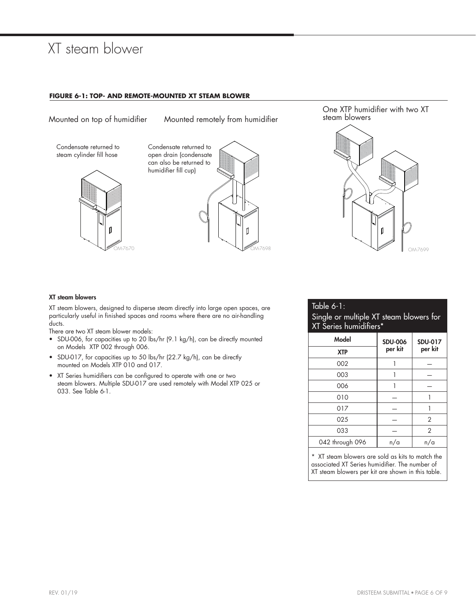## XT steam blower

#### **FIGURE 6-1: TOP- AND REMOTE-MOUNTED XT STEAM BLOWER**

Mounted on top of humidifier Mounted remotely from humidifier

Condensate returned to steam cylinder fill hose



Condensate returned to open drain (condensate can also be returned to humidifier fill cup)





#### XT steam blowers

XT steam blowers, designed to disperse steam directly into large open spaces, are particularly useful in finished spaces and rooms where there are no air-handling ducts.

There are two XT steam blower models:

- SDU-006, for capacities up to 20 lbs/hr (9.1 kg/h), can be directly mounted on Models XTP 002 through 006.
- SDU-017, for capacities up to 50 lbs/hr (22.7 kg/h), can be directly mounted on Models XTP 010 and 017.
- XT Series humidifiers can be configured to operate with one or two steam blowers. Multiple SDU-017 are used remotely with Model XTP 025 or 033. See Table 6-1.

### Table 6-1: Single or multiple XT steam blowers for XT Series humidifiers\* Model SDU-006 per kit per kit XTP SDU-017<br>per kit  $002$  1  $003$  | 1 |  $-$ 006  $1 \quad 1 \quad 010$   $1$ 017 | — | 1 025 | — | 2  $033$   $2$ 042 through 096 | n/a | n/a

\* XT steam blowers are sold as kits to match the associated XT Series humidifier. The number of XT steam blowers per kit are shown in this table.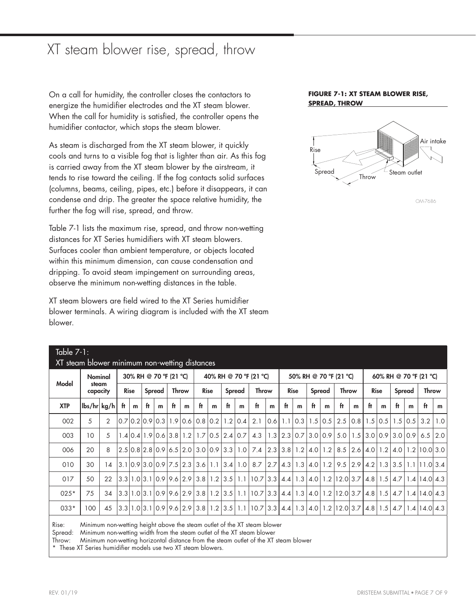### XT steam blower rise, spread, throw

On a call for humidity, the controller closes the contactors to energize the humidifier electrodes and the XT steam blower. When the call for humidity is satisfied, the controller opens the humidifier contactor, which stops the steam blower.

As steam is discharged from the XT steam blower, it quickly cools and turns to a visible fog that is lighter than air. As this fog is carried away from the XT steam blower by the airstream, it tends to rise toward the ceiling. If the fog contacts solid surfaces (columns, beams, ceiling, pipes, etc.) before it disappears, it can condense and drip. The greater the space relative humidity, the further the fog will rise, spread, and throw.

Table 7-1 lists the maximum rise, spread, and throw non-wetting distances for XT Series humidifiers with XT steam blowers. Surfaces cooler than ambient temperature, or objects located within this minimum dimension, can cause condensation and dripping. To avoid steam impingement on surrounding areas, observe the minimum non-wetting distances in the table.

XT steam blowers are field wired to the XT Series humidifier blower terminals. A wiring diagram is included with the XT steam blower.

#### **FIGURE 7-1: XT STEAM BLOWER RISE, SPREAD, THROW**



OM-7686

|            | Table $7-1$ :<br>XT steam blower minimum non-wetting distances           |                |    |        |       |                        |            |             |            |                        |              |                                            |                                                                                                                                                                                                                                           |                        |              |                        |    |                        |                                           |             |        |   |       |                       |                                                                          |   |
|------------|--------------------------------------------------------------------------|----------------|----|--------|-------|------------------------|------------|-------------|------------|------------------------|--------------|--------------------------------------------|-------------------------------------------------------------------------------------------------------------------------------------------------------------------------------------------------------------------------------------------|------------------------|--------------|------------------------|----|------------------------|-------------------------------------------|-------------|--------|---|-------|-----------------------|--------------------------------------------------------------------------|---|
|            | <b>Nominal</b>                                                           |                |    |        |       | 30% RH @ 70 °F (21 °C) |            |             |            | 40% RH @ 70 °F (21 °C) |              |                                            |                                                                                                                                                                                                                                           | 50% RH @ 70 °F (21 °C) |              |                        |    | 60% RH @ 70 °F (21 °C) |                                           |             |        |   |       |                       |                                                                          |   |
| Model      | steam<br><b>Rise</b><br>capacity                                         |                |    | Spread | Throw |                        |            | <b>Rise</b> |            | Spread                 |              | <b>Throw</b>                               |                                                                                                                                                                                                                                           | <b>Rise</b>            |              | <b>Throw</b><br>Spread |    |                        |                                           | <b>Rise</b> | Spread |   | Throw |                       |                                                                          |   |
| <b>XTP</b> | lbs/hr kg/h                                                              |                | ft | m      | f     | m                      | $\ddot{H}$ | m           | $\ddot{H}$ | m                      | $\mathbf{f}$ | m                                          | $\ddot{H}$                                                                                                                                                                                                                                | m                      | $_{\rm{ft}}$ | m                      | ft | m                      | $\ddot{H}$                                | m           | f      | m | ft    | m                     | f                                                                        | m |
| 002        | 5.                                                                       | $\overline{2}$ |    |        |       |                        |            |             |            |                        |              | $0.7 0.2 0.9 0.3 1.9 0.6 0.8 0.2 1.2 0.4$  | 2.1                                                                                                                                                                                                                                       |                        | 0.6 1.1 0.3  |                        |    |                        | $1.5$ 0.5 2.5                             |             |        |   |       | 0.8 1.5 0.5 1.5 0.5   | $3.2$   1.0                                                              |   |
| 003        | 10                                                                       | 5              |    |        |       |                        |            |             |            |                        |              | $1.4 0.4 1.9 0.6 3.8 1.2 1.7 0.5 2.4 0.7 $ |                                                                                                                                                                                                                                           |                        |              |                        |    |                        | $4.3$   1.3   2.3   0.7   3.0   0.9   5.0 |             |        |   |       | $1.5$ 3.0 0.9 3.0 0.9 | $6.5 \mid 2.0$                                                           |   |
| 006        | 20                                                                       | 8              |    |        |       |                        |            |             |            |                        |              |                                            | $\left  2.5 \right  0.8 \left  2.8 \right  0.9 \left  6.5 \right  2.0 \left  3.0 \right  0.9 \left  3.3 \right  1.0 \left  7.4 \right $                                                                                                   |                        |              |                        |    |                        | 2.3 3.8 1.2 4.0 1.2 8.5                   |             |        |   |       |                       | $\vert 2.6 \vert 4.0 \vert 1.2 \vert 4.0 \vert 1.2 \vert 10.0 \vert 3.0$ |   |
| 010        | 30                                                                       | 14             |    |        |       |                        |            |             |            |                        |              |                                            | $ 3.1 0.9 3.0 0.9 7.5 2.3 3.6 1.1 3.4 1.0 8.7$                                                                                                                                                                                            |                        | 2.7 4.3 1.3  |                        |    |                        |                                           |             |        |   |       |                       | $1.0$   1.2   9.5   2.9   4.2   1.3   3.5   1.1   11.0   3.4             |   |
| 017        | 50                                                                       | 22             |    |        |       |                        |            |             |            |                        |              |                                            | $\left 3.3\right 1.0\left 3.1\right 0.9\left 2.6\right 2.9\left 3.8\right 1.2\left 3.5\right 1.1\left 10.7\right 3.3\left 4.4\right 1.3\left 4.0\right 1.2\left 12.0\right 3.7\left 4.8\right 1.5\left 4.7\right 1.4\left 14.0\right 4.3$ |                        |              |                        |    |                        |                                           |             |        |   |       |                       |                                                                          |   |
| $025*$     | 75                                                                       | 34             |    |        |       |                        |            |             |            |                        |              |                                            | $\left 3.3\right 1.0\left 3.1\right 0.9\left 9.6\right 2.9\left 3.8\right 1.2\left 3.5\right 1.1\left 10.7\right 3.3\left 4.4\right 1.3\left 4.0\right 1.2\left 12.0\right 3.7\left 4.8\right 1.5\left 4.7\right 1.4\left 14.0\right 4.3$ |                        |              |                        |    |                        |                                           |             |        |   |       |                       |                                                                          |   |
| $033*$     | 100                                                                      | 45             |    |        |       |                        |            |             |            |                        |              |                                            | $\left 3.3\right 1.0\left 3.1\right 0.9\left 9.6\right 2.9\left 3.8\right 1.2\left 3.5\right 1.1\left 10.7\right 3.3\left 4.4\right 1.3\left 4.0\right 1.2\left 12.0\right 3.7\left 4.8\right 1.5\left 4.7\right 1.4\left 14.0\right 4.3$ |                        |              |                        |    |                        |                                           |             |        |   |       |                       |                                                                          |   |
| Rise:      | Minimum non-wetting height above the steam outlet of the XT steam blower |                |    |        |       |                        |            |             |            |                        |              |                                            |                                                                                                                                                                                                                                           |                        |              |                        |    |                        |                                           |             |        |   |       |                       |                                                                          |   |

Spread: Minimum non-wetting width from the steam outlet of the XT steam blower

Throw: Minimum non-wetting horizontal distance from the steam outlet of the XT steam blower

These XT Series humidifier models use two XT steam blowers.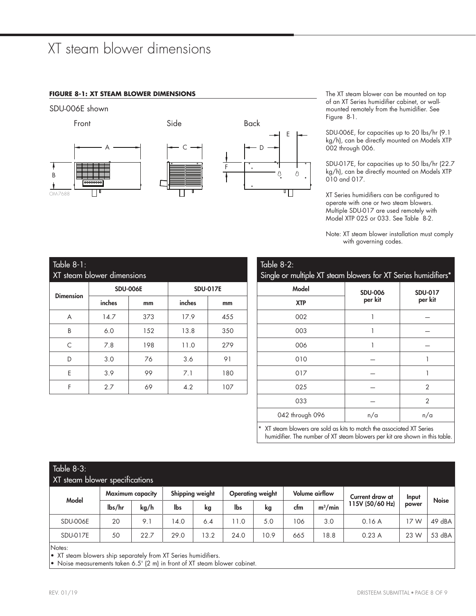## XT steam blower dimensions

#### **FIGURE 8-1: XT STEAM BLOWER DIMENSIONS**



The XT steam blower can be mounted on top of an XT Series humidifier cabinet, or wallmounted remotely from the humidifier. See Figure 8-1.

SDU-006E, for capacities up to 20 lbs/hr (9.1 kg/h), can be directly mounted on Models XTP 002 through 006.

SDU-017E, for capacities up to 50 lbs/hr (22.7 kg/h), can be directly mounted on Models XTP 010 and 017.

XT Series humidifiers can be configured to operate with one or two steam blowers. Multiple SDU-017 are used remotely with Model XTP 025 or 033. See Table  $8-2$ .

Note: XT steam blower installation must comply with governing codes.

| Table 8-1:<br>XT steam blower dimensions         |      |     |      |     |  |  |  |  |  |  |  |
|--------------------------------------------------|------|-----|------|-----|--|--|--|--|--|--|--|
| <b>SDU-006E</b><br><b>SDU-017E</b>               |      |     |      |     |  |  |  |  |  |  |  |
| <b>Dimension</b><br>inches<br>inches<br>mm<br>mm |      |     |      |     |  |  |  |  |  |  |  |
| A                                                | 14.7 | 373 | 17.9 | 455 |  |  |  |  |  |  |  |
| B                                                | 6.0  | 152 | 13.8 | 350 |  |  |  |  |  |  |  |
| C                                                | 7.8  | 198 | 11.0 | 279 |  |  |  |  |  |  |  |
| D                                                | 3.0  | 76  | 3.6  | 91  |  |  |  |  |  |  |  |
| E                                                | 3.9  | 99  | 7.1  | 180 |  |  |  |  |  |  |  |
| F                                                | 2.7  | 69  | 4.2  | 107 |  |  |  |  |  |  |  |

| Table 8-2:<br>Single or multiple XT steam blowers for XT Series humidifiers* |                |                |  |  |  |  |  |  |  |  |  |  |
|------------------------------------------------------------------------------|----------------|----------------|--|--|--|--|--|--|--|--|--|--|
| Model                                                                        | <b>SDU-006</b> | <b>SDU-017</b> |  |  |  |  |  |  |  |  |  |  |
| <b>XTP</b>                                                                   | per kit        | per kit        |  |  |  |  |  |  |  |  |  |  |
| 002                                                                          | 1              |                |  |  |  |  |  |  |  |  |  |  |
| 003<br>1                                                                     |                |                |  |  |  |  |  |  |  |  |  |  |
| 006                                                                          | 1              |                |  |  |  |  |  |  |  |  |  |  |
| 010                                                                          |                |                |  |  |  |  |  |  |  |  |  |  |
| 017                                                                          |                |                |  |  |  |  |  |  |  |  |  |  |
| 025                                                                          |                | $\overline{2}$ |  |  |  |  |  |  |  |  |  |  |
| $\overline{2}$<br>033                                                        |                |                |  |  |  |  |  |  |  |  |  |  |
| n/a<br>042 through 096<br>n/a                                                |                |                |  |  |  |  |  |  |  |  |  |  |
| * XT steam blowers are sold as kits to match the associated XT Series        |                |                |  |  |  |  |  |  |  |  |  |  |

humidifier. The number of XT steam blowers per kit are shown in this table.

### Table 8-3:

| XT steam blower specifications |                            |      |      |                 |      |                         |     |                       |                 |       |              |
|--------------------------------|----------------------------|------|------|-----------------|------|-------------------------|-----|-----------------------|-----------------|-------|--------------|
| Model                          | Maximum capacity           |      |      | Shipping weight |      | <b>Operating weight</b> |     | <b>Volume airflow</b> | Current draw at | Input | <b>Noise</b> |
|                                | $\mathsf{lbs}/\mathsf{hr}$ | kg/h | lbs  | kg              | lbs  | kg                      | cfm | $m^3/m$ in            | 115V (50/60 Hz) | power |              |
| SDU-006E                       | 20                         | 9.1  | 14.0 | 6.4             | 1.0  | 5.0                     | 106 | 3.0                   | 0.16A           | 17 W  | $49$ dBA     |
| SDU-017E                       | 50                         | 22.7 | 29.0 | 3.2             | 24.0 | 10.9                    | 665 | 18.8                  | 0.23A           | 23 W  | 53 dBA       |

Notes:

• XT steam blowers ship separately from XT Series humidifiers.

• Noise measurements taken 6.5' (2 m) in front of XT steam blower cabinet.